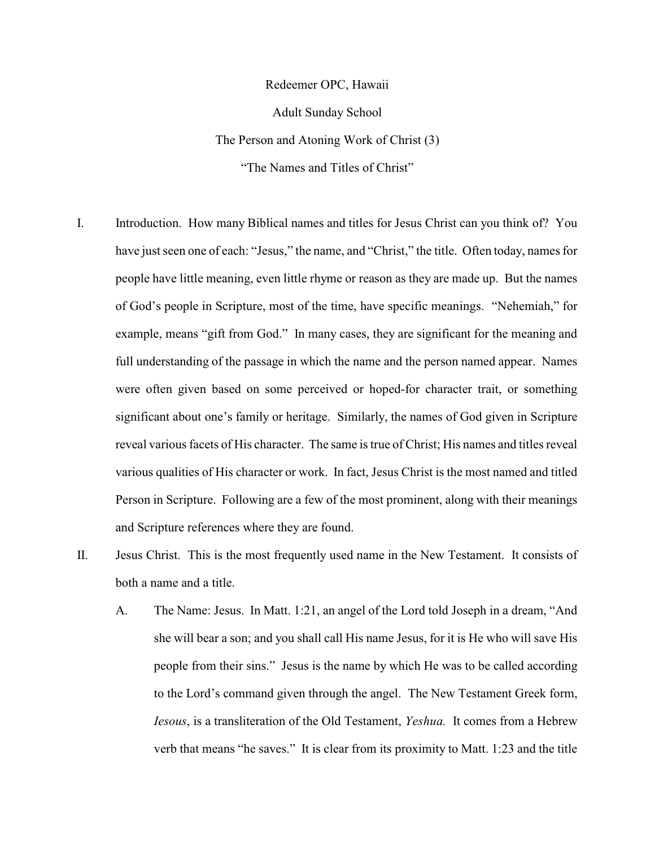Redeemer OPC, Hawaii Adult Sunday School

The Person and Atoning Work of Christ (3) "The Names and Titles of Christ"

- I. Introduction. How many Biblical names and titles for Jesus Christ can you think of? You have just seen one of each: "Jesus," the name, and "Christ," the title. Often today, names for people have little meaning, even little rhyme or reason as they are made up. But the names of God's people in Scripture, most of the time, have specific meanings. "Nehemiah," for example, means "gift from God." In many cases, they are significant for the meaning and full understanding of the passage in which the name and the person named appear. Names were often given based on some perceived or hoped-for character trait, or something significant about one's family or heritage. Similarly, the names of God given in Scripture reveal various facets of His character. The same is true of Christ; His names and titles reveal various qualities of His character or work. In fact, Jesus Christ is the most named and titled Person in Scripture. Following are a few of the most prominent, along with their meanings and Scripture references where they are found.
- II. Jesus Christ. This is the most frequently used name in the New Testament. It consists of both a name and a title.
	- A. The Name: Jesus. In Matt. 1:21, an angel of the Lord told Joseph in a dream, "And she will bear a son; and you shall call His name Jesus, for it is He who will save His people from their sins." Jesus is the name by which He was to be called according to the Lord's command given through the angel. The New Testament Greek form, *Iesous*, is a transliteration of the Old Testament, *Yeshua.* It comes from a Hebrew verb that means "he saves." It is clear from its proximity to Matt. 1:23 and the title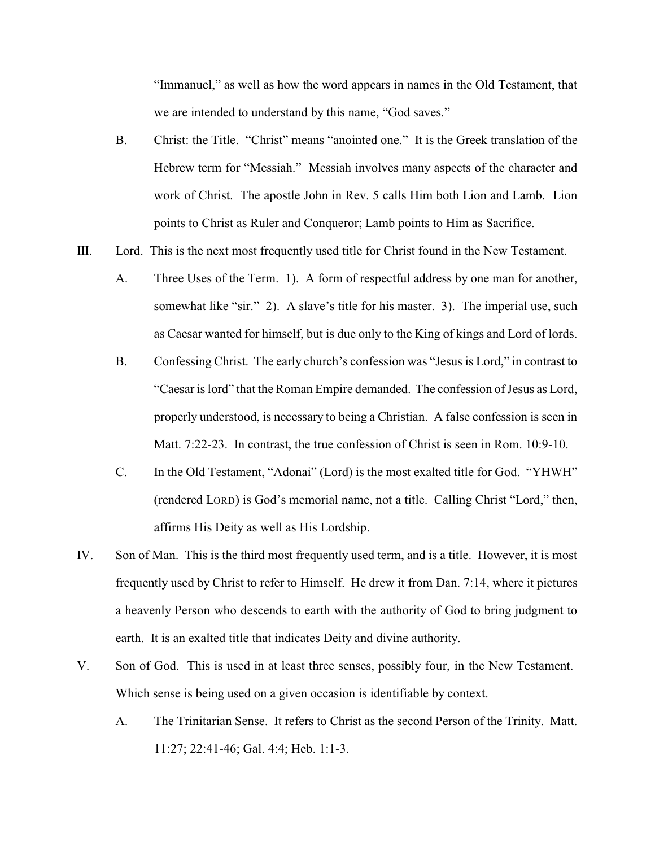"Immanuel," as well as how the word appears in names in the Old Testament, that we are intended to understand by this name, "God saves."

- B. Christ: the Title. "Christ" means "anointed one." It is the Greek translation of the Hebrew term for "Messiah." Messiah involves many aspects of the character and work of Christ. The apostle John in Rev. 5 calls Him both Lion and Lamb. Lion points to Christ as Ruler and Conqueror; Lamb points to Him as Sacrifice.
- III. Lord. This is the next most frequently used title for Christ found in the New Testament.
	- A. Three Uses of the Term. 1). A form of respectful address by one man for another, somewhat like "sir." 2). A slave's title for his master. 3). The imperial use, such as Caesar wanted for himself, but is due only to the King of kings and Lord of lords.
	- B. Confessing Christ. The early church's confession was "Jesus is Lord," in contrast to "Caesar is lord" that the Roman Empire demanded. The confession of Jesus as Lord, properly understood, is necessary to being a Christian. A false confession is seen in Matt. 7:22-23. In contrast, the true confession of Christ is seen in Rom. 10:9-10.
	- C. In the Old Testament, "Adonai" (Lord) is the most exalted title for God. "YHWH" (rendered LORD) is God's memorial name, not a title. Calling Christ "Lord," then, affirms His Deity as well as His Lordship.
- IV. Son of Man. This is the third most frequently used term, and is a title. However, it is most frequently used by Christ to refer to Himself. He drew it from Dan. 7:14, where it pictures a heavenly Person who descends to earth with the authority of God to bring judgment to earth. It is an exalted title that indicates Deity and divine authority.
- V. Son of God. This is used in at least three senses, possibly four, in the New Testament. Which sense is being used on a given occasion is identifiable by context.
	- A. The Trinitarian Sense. It refers to Christ as the second Person of the Trinity. Matt. 11:27; 22:41-46; Gal. 4:4; Heb. 1:1-3.